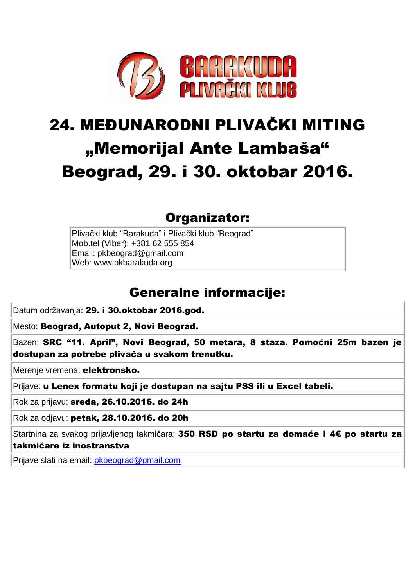

# 24. MEĐUNARODNI PLIVAČKI MITING "Memorijal Ante Lambaša" Beograd, 29. i 30. oktobar 2016.

### Organizator:

Plivački klub "Barakuda" i Plivački klub "Beograd" Mob.tel (Viber): +381 62 555 854 Email: pkbeograd@gmail.com Web: www.pkbarakuda.org

## Generalne informacije:

Datum održavanja: 29. i 30.oktobar 2016.god.

Mesto: Beograd, Autoput 2, Novi Beograd.

Bazen: SRC "11. April", Novi Beograd, 50 metara, 8 staza. Pomoćni 25m bazen je dostupan za potrebe plivača u svakom trenutku.

Merenie vremena: elektronsko.

Prijave: u Lenex formatu koji je dostupan na sajtu PSS ili u Excel tabeli.

Rok za prijavu: sreda, 26.10.2016. do 24h

Rok za odjavu: petak, 28.10.2016. do 20h

Startnina za svakog prijavljenog takmičara: 350 RSD po startu za domaće i 4€ po startu za takmičare iz inostranstva

Prijave slati na email: [pkbeograd@gmail.com](mailto:pkbeograd@gmail.com)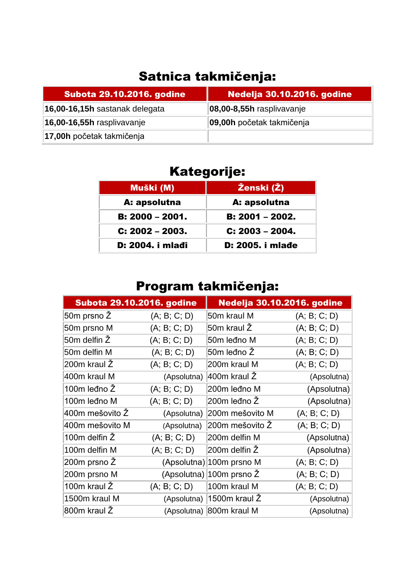## Satnica takmičenja:

| <b>Subota 29.10.2016. godine</b> | <b>Nedelja 30.10.2016. godine</b> |
|----------------------------------|-----------------------------------|
| 16,00-16,15h sastanak delegata   | 08,00-8,55h rasplivavanje         |
| 16,00-16,55h rasplivavanje       | 09,00h početak takmičenja         |
| 17,00h početak takmičenja        |                                   |

## Kategorije:

| Muški (M)         | Ženski (Ž)              |
|-------------------|-------------------------|
| A: apsolutna      | A: apsolutna            |
| $B: 2000 - 2001.$ | <b>B:</b> 2001 - 2002.  |
| $C: 2002 - 2003.$ | $C: 2003 - 2004.$       |
| D: 2004. i mlađi  | <b>D: 2005. i mlade</b> |

## Program takmičenja:

| <b>Subota 29.10.2016. godine</b> |              | <b>Nedelja 30.10.2016. godine</b>     |              |
|----------------------------------|--------------|---------------------------------------|--------------|
| 50m prsno Ž                      | (A; B; C; D) | 50m kraul M                           | (A; B; C; D) |
| 50m prsno M                      | (A; B; C; D) | 50m kraul Ž                           | (A; B; C; D) |
| 50m delfin Ž                     | (A; B; C; D) | 50m leđno M                           | (A; B; C; D) |
| 50m delfin M                     | (A; B; C; D) | 50m leđno Ž                           | (A; B; C; D) |
| 200m kraul Ž                     | (A; B; C; D) | 200m kraul M                          | (A; B; C; D) |
| 400m kraul M                     | (Apsolutna)  | 400m kraul Ž                          | (Apsolutna)  |
| 100m leđno Ž                     | (A; B; C; D) | 200m leđno M                          | (Apsolutna)  |
| 100m leđno M                     | (A; B; C; D) | 200m leđno Ž                          | (Apsolutna)  |
| l400m mešovito Ž                 | (Apsolutna)  | 200m mešovito M                       | (A; B; C; D) |
| 400m mešovito M                  | (Apsolutna)  | 200m mešovito Ž                       | (A; B; C; D) |
| 100m delfin Ž                    | (A; B; C; D) | 200m delfin M                         | (Apsolutna)  |
| 100m delfin M                    | (A; B; C; D) | 200m delfin Ž                         | (Apsolutna)  |
| 200m prsno Ž                     |              | (Apsolutna) 100m prsno M              | (A; B; C; D) |
| 200m prsno M                     |              | (Apsolutna) 100m prsno $\overline{Z}$ | (A; B; C; D) |
| 100m kraul Ž                     | (A; B; C; D) | 100m kraul M                          | (A; B; C; D) |
| 1500m kraul M                    |              | (Apsolutna) 1500m kraul Ž             | (Apsolutna)  |
| 800m kraul Ž                     |              | (Apsolutna) 800m kraul M              | (Apsolutna)  |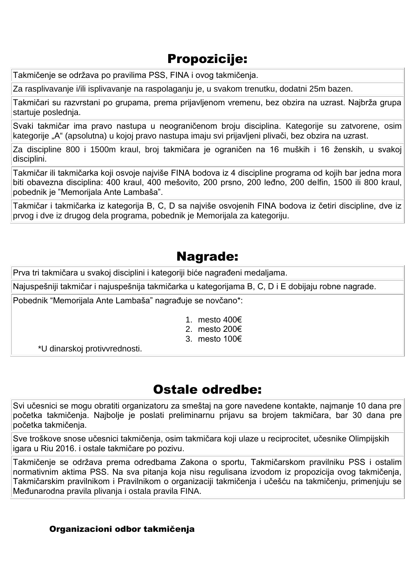#### Propozicije:

Takmičenje se održava po pravilima PSS, FINA i ovog takmičenja.

Za rasplivavanje i/ili isplivavanje na raspolaganju je, u svakom trenutku, dodatni 25m bazen.

Takmičari su razvrstani po grupama, prema prijavljenom vremenu, bez obzira na uzrast. Najbrža grupa startuje poslednja.

Svaki takmičar ima pravo nastupa u neograničenom broju disciplina. Kategorije su zatvorene, osim kategorije "A" (apsolutna) u kojoj pravo nastupa imaju svi prijavljeni plivači, bez obzira na uzrast.

Za discipline 800 i 1500m kraul, broj takmičara je ograničen na 16 muških i 16 ženskih, u svakoj disciplini.

Takmičar ili takmičarka koji osvoje najviše FINA bodova iz 4 discipline programa od kojih bar jedna mora biti obavezna disciplina: 400 kraul, 400 mešovito, 200 prsno, 200 leđno, 200 delfin, 1500 ili 800 kraul, pobednik je "Memorijala Ante Lambaša".

Takmičar i takmičarka iz kategorija B, C, D sa najviše osvojenih FINA bodova iz četiri discipline, dve iz prvog i dve iz drugog dela programa, pobednik je Memorijala za kategoriju.

#### Nagrade:

Prva tri takmičara u svakoj disciplini i kategoriji biće nagrađeni medaljama.

Najuspešniji takmičar i najuspešnija takmičarka u kategorijama B, C, D i E dobijaju robne nagrade.

Pobednik "Memorijala Ante Lambaša" nagrađuje se novčano\*:

- 1. mesto 400€
- 2. mesto 200€
- 3. mesto 100€

\*U dinarskoj protivvrednosti.

#### Ostale odredbe:

Svi učesnici se mogu obratiti organizatoru za smeštaj na gore navedene kontakte, najmanje 10 dana pre početka takmičenja. Najbolje je poslati preliminarnu prijavu sa brojem takmičara, bar 30 dana pre početka takmičenja.

Sve troškove snose učesnici takmičenja, osim takmičara koji ulaze u reciprocitet, učesnike Olimpijskih igara u Riu 2016. i ostale takmičare po pozivu.

Takmičenje se održava prema odredbama Zakona o sportu, Takmičarskom pravilniku PSS i ostalim normativnim aktima PSS. Na sva pitanja koja nisu regulisana izvodom iz propozicija ovog takmičenja, Takmičarskim pravilnikom i Pravilnikom o organizaciji takmičenja i učešću na takmičenju, primenjuju se Međunarodna pravila plivanja i ostala pravila FINA.

#### Organizacioni odbor takmičenja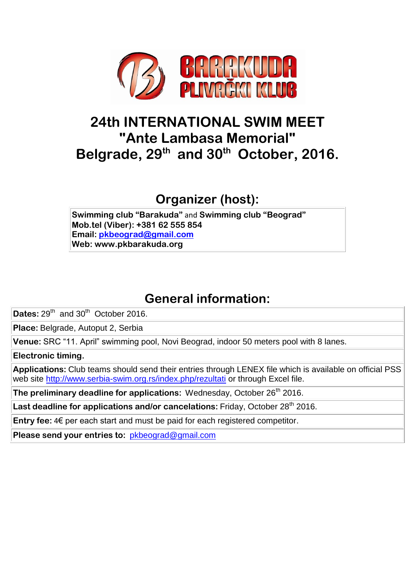

## **24th INTERNATIONAL SWIM MEET "Ante Lambasa Memorial" Belgrade, 29th and 30th October, 2016.**

**Organizer (host):**

**Swimming club "Barakuda"** and **Swimming club "Beograd" Mob.tel (Viber): +381 62 555 854 Email: [pkbeograd@gmail.com](mailto:pkbeograd@gmail.com) Web: www.pkbarakuda.org**

## **General information:**

Dates: 29<sup>th</sup> and 30<sup>th</sup> October 2016.

**Place:** Belgrade, Autoput 2, Serbia

**Venue:** SRC "11. April" swimming pool, Novi Beograd, indoor 50 meters pool with 8 lanes.

**Electronic timing.**

**Applications:** Club teams should send their entries through LENEX file which is available on official PSS web site<http://www.serbia-swim.org.rs/index.php/rezultati> or through Excel file.

The preliminary deadline for applications: Wednesday, October 26<sup>th</sup> 2016.

Last deadline for applications and/or cancelations: Friday, October 28<sup>th</sup> 2016.

**Entry fee:** 4€ per each start and must be paid for each registered competitor.

**Please send your entries to:** [pkbeograd@gmail.com](mailto:pkbeograd@gmail.com)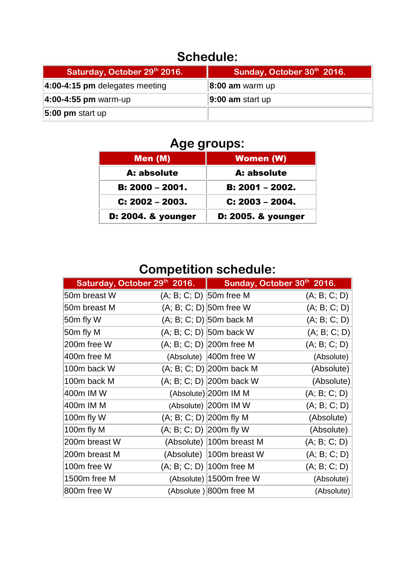## **Schedule:**

| Saturday, October 29th 2016.     | Sunday, October 30th 2016. |
|----------------------------------|----------------------------|
| $4:00-4:15$ pm delegates meeting | 8:00 am warm up            |
| 4:00-4:55 pm warm-up             | $ 9:00$ am start up        |
| $ 5:00$ pm start up              |                            |

## **Age groups:**

| Men (M)            | <b>Women (W)</b>   |
|--------------------|--------------------|
| A: absolute        | A: absolute        |
| B: 2000 - 2001.    | B: 2001 - 2002.    |
| $C: 2002 - 2003.$  | $C: 2003 - 2004.$  |
| D: 2004. & younger | D: 2005. & younger |

## **Competition schedule:**

| Saturday, October 29th 2016. |                           | Sunday, October 30th 2016. |              |
|------------------------------|---------------------------|----------------------------|--------------|
| 50m breast W                 | (A; B; C; D) 50m free M   |                            | (A; B; C; D) |
| 50m breast M                 |                           | $(A; B; C; D)$ 50m free W  | (A; B; C; D) |
| 50m fly W                    |                           | $(A; B; C; D)$ 50m back M  | (A; B; C; D) |
| 50m fly M                    |                           | (A; B; C; D) 50m back W    | (A; B; C; D) |
| 200m free W                  |                           | $(A; B; C; D)$ 200m free M | (A; B; C; D) |
| 400m free M                  |                           | (Absolute) 400m free W     | (Absolute)   |
| 100m back W                  |                           | $(A; B; C; D)$ 200m back M | (Absolute)   |
| 100m back M                  |                           | (A; B; C; D) 200m back W   | (Absolute)   |
| 400m IM W                    |                           | (Absolute) 200m IM M       | (A; B; C; D) |
| 400m IM M                    |                           | (Absolute) 200m IM W       | (A; B; C; D) |
| 100m fly W                   | $(A; B; C; D)$ 200 mfly M |                            | (Absolute)   |
| 100m fly M                   | $(A; B; C; D)$ 200m fly W |                            | (Absolute)   |
| 200m breast W                |                           | (Absolute) 100m breast M   | (A; B; C; D) |
| 200m breast M                |                           | (Absolute) 100m breast W   | (A; B; C; D) |
| 100m free W                  |                           | (A; B; C; D)   100m free M | (A; B; C; D) |
| 1500m free M                 |                           | (Absolute) 1500m free W    | (Absolute)   |
| 800m free W                  |                           | (Absolute) 800m free M     | (Absolute)   |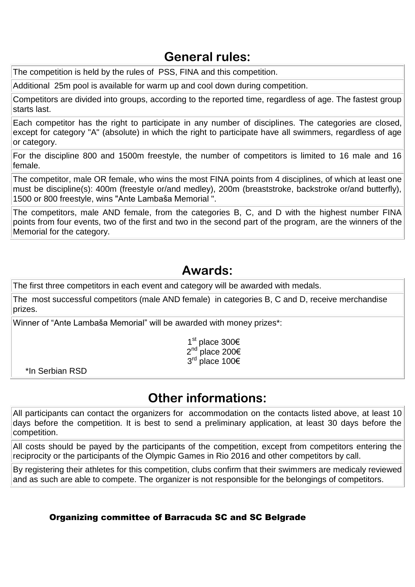#### **General rules:**

The competition is held by the rules of PSS, FINA and this competition.

Additional 25m pool is available for warm up and cool down during competition.

Competitors are divided into groups, according to the reported time, regardless of age. The fastest group starts last.

Each competitor has the right to participate in any number of disciplines. The categories are closed, except for category "A" (absolute) in which the right to participate have all swimmers, regardless of age or category.

For the discipline 800 and 1500m freestyle, the number of competitors is limited to 16 male and 16 female.

The competitor, male OR female, who wins the most FINA points from 4 disciplines, of which at least one must be discipline(s): 400m (freestyle or/and medley), 200m (breaststroke, backstroke or/and butterfly), 1500 or 800 freestyle, wins "Ante Lambaša Memorial ".

The competitors, male AND female, from the categories B, C, and D with the highest number FINA points from four events, two of the first and two in the second part of the program, are the winners of the Memorial for the category.

#### **Awards:**

The first three competitors in each event and category will be awarded with medals.

The most successful competitors (male AND female) in categories B, C and D, receive merchandise prizes.

Winner of "Ante Lambaša Memorial" will be awarded with money prizes\*:

1<sup>st</sup> place 300€ 2<sup>nd</sup> place 200€ 3<sup>rd</sup> place 100€

\*In Serbian RSD

#### **Other informations:**

All participants can contact the organizers for accommodation on the contacts listed above, at least 10 days before the competition. It is best to send a preliminary application, at least 30 days before the competition.

All costs should be payed by the participants of the competition, except from competitors entering the reciprocity or the participants of the Olympic Games in Rio 2016 and other competitors by call.

By registering their athletes for this competition, clubs confirm that their swimmers are medicaly reviewed and as such are able to compete. The organizer is not responsible for the belongings of competitors.

#### Organizing committee of Barracuda SC and SC Belgrade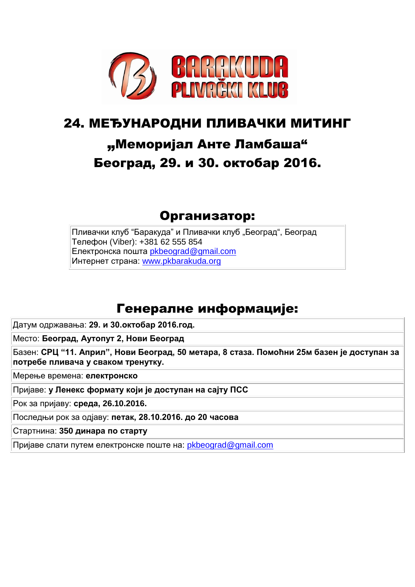

## 24. МЕЂУНАРОДНИ ПЛИВАЧКИ МИТИНГ

## "Меморијал Анте Ламбаша" Београд, 29. и 30. октобар 2016.

#### Организатор:

Пливачки клуб "Баракуда" и Пливачки клуб "Београд", Београд Телефон (Viber): +381 62 555 854 Електронска пошта [pkbeograd@gmail.com](mailto:pkbeograd@gmail.com) Интернет страна: [www.pkbarakuda.org](http://www.pkbarakuda.org/)

#### Генералне информације:

Датум одржавања: **29. и 30.октобар 2016.год.**

Место: **Београд, Аутопут 2, Нови Београд**

Базен: **СРЦ "11. Април", Нови Београд, 50 метара, 8 стаза. Помоћни 25м базен је доступан за потребе пливача у сваком тренутку.**

Мерење времена: **електронско**

Пријаве: **у Ленекс формату који је доступан на сајту ПСС**

Рок за пријаву: **среда, 26.10.2016.** 

Последњи рок за одјаву: **петак, 28.10.2016. до 20 часова**

Стартнина: **350 динара по старту** 

Пријаве слати путем електронске поште на: [pkbeograd@gmail.com](mailto:pkbeograd@gmail.com)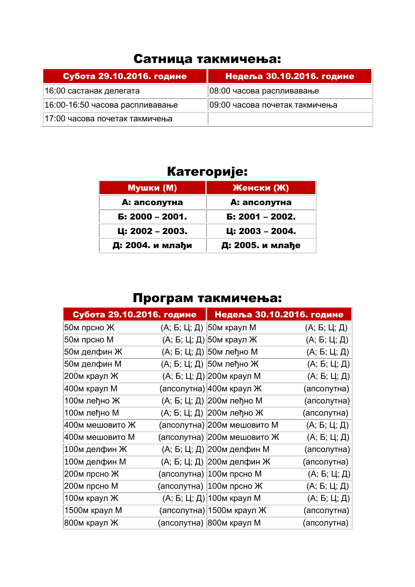### Сатница такмичења:

| Субота 29.10.2016. године       | <u>  Недеља 30.10.2016. године </u> |
|---------------------------------|-------------------------------------|
| 16:00 састанак делегата         | 08:00 часова распливавање           |
| 16:00-16:50 часова распливавање | 09:00 часова почетак такмичења      |
| 17:00 часова почетак такмичења  |                                     |

## Категорије:

| <b>Мушки (М)</b>  | Женски (Ж)       |
|-------------------|------------------|
| А: апсолутна      | А: апсолутна     |
| $E: 2000 - 2001.$ | Б: 2001 - 2002.  |
| Ц: 2002 – 2003.   | Ц: 2003 - 2004.  |
| Д: 2004. и млађи  | Д: 2005. и млађе |

## Програм такмичења:

| Субота 29.10.2016. године |  | Недеља 30.10.2016. године   |              |
|---------------------------|--|-----------------------------|--------------|
| 50м прсно Ж               |  | (А; Б; Ц; Д) 50м краул М    | (A; 5; 4; 4) |
| 50м прсно М               |  | (А; Б; Ц; Д) 50м краул Ж    | (А; Б; Ц; Д) |
| 50м делфин Ж              |  | (А; Б; Ц; Д) 50м леђно М    | (А; Б; Ц; Д) |
| 50м делфин М              |  | (А; Б; Ц; Д) 50м леђно Ж    | (А; Б; Ц; Д) |
| 200м краул Ж              |  | (А; Б; Ц; Д) 200м краул М   | (А; Б; Ц; Д) |
| 400м краул М              |  | (апсолутна) 400м краул Ж    | (апсолутна)  |
| 100м леђно Ж              |  | (А; Б; Ц; Д) 200м леђно М   | (апсолутна)  |
| 100м леђно М              |  | (А; Б; Ц; Д) 200м леђно Ж   | (апсолутна)  |
| 400м мешовито Ж           |  | (апсолутна) 200м мешовито М | (A; 5; 4; 4) |
| 400м мешовито М           |  | (апсолутна) 200м мешовито Ж | (A; 5; 4; 4) |
| 100м делфин Ж             |  | (А; Б; Ц; Д) 200м делфин М  | (апсолутна)  |
| 100м делфин М             |  | (А; Б; Ц; Д) 200м делфин Ж  | (апсолутна)  |
| 200м прсно Ж              |  | (апсолутна)  100м прсно М   | (A; 5; 4; 4) |
| 200м прсно М              |  | (апсолутна)   100м прсно Ж  | (A; 5; 4; 4) |
| 100м краул Ж              |  | (А; Б; Ц; Д) 100м краул М   | (А; Б; Ц; Д) |
| 1500м краул М             |  | (апсолутна) 1500м краул Ж   | (апсолутна)  |
| 800м краул Ж              |  | (апсолутна)  800м краул М   | (апсолутна)  |